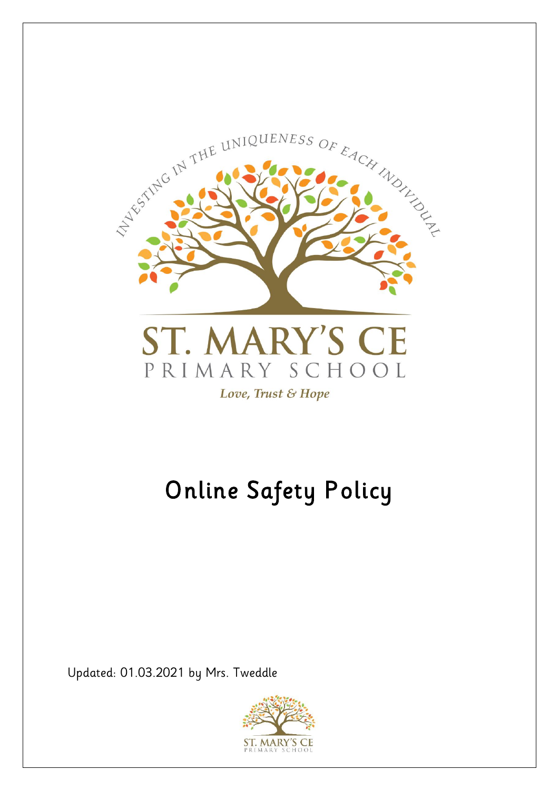

# Online Safety Policy

Updated: 01.03.2021 by Mrs. Tweddle

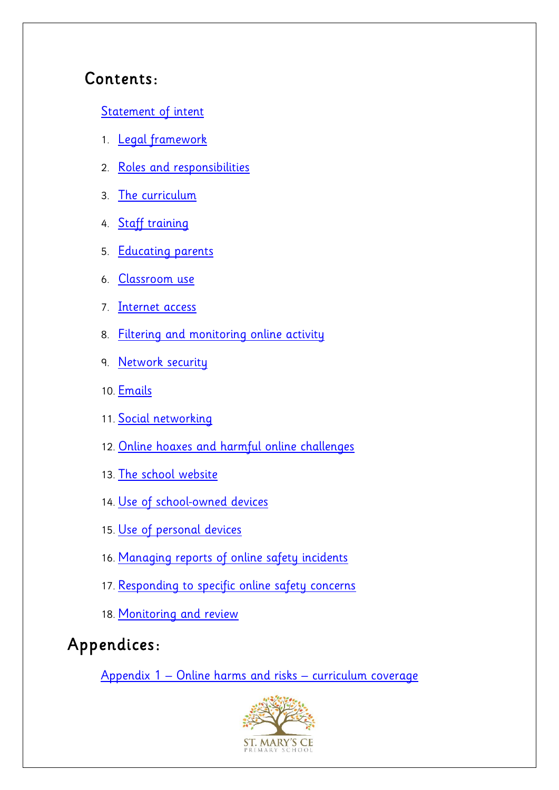#### Contents:

[Statement of intent](#page-1-0)

- 1. [Legal framework](#page-3-0)
- 2. [Roles and responsibilities](#page-4-0)
- 3. [The curriculum](#page-6-0)
- 4. [Staff training](#page-8-0)
- 5. [Educating parents](#page-9-0)
- 6. [Classroom use](#page-9-1)
- 7. [Internet access](#page-10-0)
- 8. [Filtering and monitoring online activity](#page-10-1)
- 9. [Network security](#page-11-0)
- 10. [Emails](#page-12-0)
- 11. [Social networking](#page-12-1)
- 12. [Online hoaxes and harmful online challenges](#page-13-0)
- 13. [The school website](#page-13-0)
- 14. [Use of school-owned devices](#page-15-0)
- 15. [Use of personal devices](#page-16-0)
- 16. [Managing reports of online safety incidents](#page-16-1)
- 17. [Responding to specific online safety concerns](#page-17-0)
- 18. [Monitoring and review](#page-22-0)

# Appendices:

<span id="page-1-0"></span>Appendix 1 – [Online harms and risks](#page-25-0) – curriculum coverage

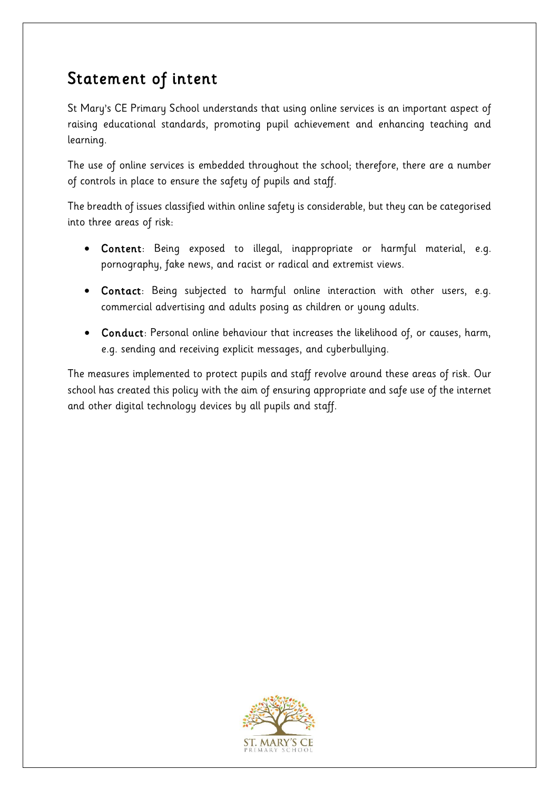# Statement of intent

St Mary's CE Primary School understands that using online services is an important aspect of raising educational standards, promoting pupil achievement and enhancing teaching and learning.

The use of online services is embedded throughout the school; therefore, there are a number of controls in place to ensure the safety of pupils and staff.

The breadth of issues classified within online safety is considerable, but they can be categorised into three areas of risk:

- Content: Being exposed to illegal, inappropriate or harmful material, e.g. pornography, fake news, and racist or radical and extremist views.
- Contact: Being subjected to harmful online interaction with other users, e.g. commercial advertising and adults posing as children or young adults.
- Conduct: Personal online behaviour that increases the likelihood of, or causes, harm, e.g. sending and receiving explicit messages, and cyberbullying.

The measures implemented to protect pupils and staff revolve around these areas of risk. Our school has created this policy with the aim of ensuring appropriate and safe use of the internet and other digital technology devices by all pupils and staff.

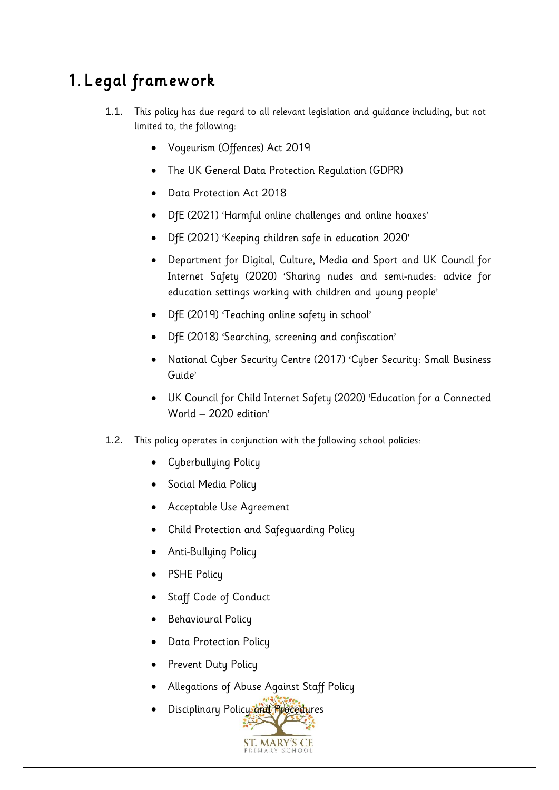# <span id="page-3-0"></span>1. Legal framework

- 1.1. This policy has due regard to all relevant legislation and guidance including, but not limited to, the following:
	- Voyeurism (Offences) Act 2019
	- The UK General Data Protection Regulation (GDPR)
	- Data Protection Act 2018
	- DfE (2021) 'Harmful online challenges and online hoaxes'
	- DfE (2021) 'Keeping children safe in education 2020'
	- Department for Digital, Culture, Media and Sport and UK Council for Internet Safety (2020) 'Sharing nudes and semi-nudes: advice for education settings working with children and young people'
	- DfE (2019) 'Teaching online safety in school'
	- DfE (2018) 'Searching, screening and confiscation'
	- National Cyber Security Centre (2017) 'Cyber Security: Small Business Guide'
	- UK Council for Child Internet Safety (2020) 'Education for a Connected World – 2020 edition'
- 1.2. This policy operates in conjunction with the following school policies:
	- Cyberbullying Policy
	- Social Media Policy
	- Acceptable Use Agreement
	- Child Protection and Safeguarding Policy
	- Anti-Bullying Policy
	- PSHE Policy
	- Staff Code of Conduct
	- Behavioural Policy
	- Data Protection Policy
	- Prevent Duty Policy
	- Allegations of Abuse Against Staff Policy
	- Disciplinary Policy and Procedures

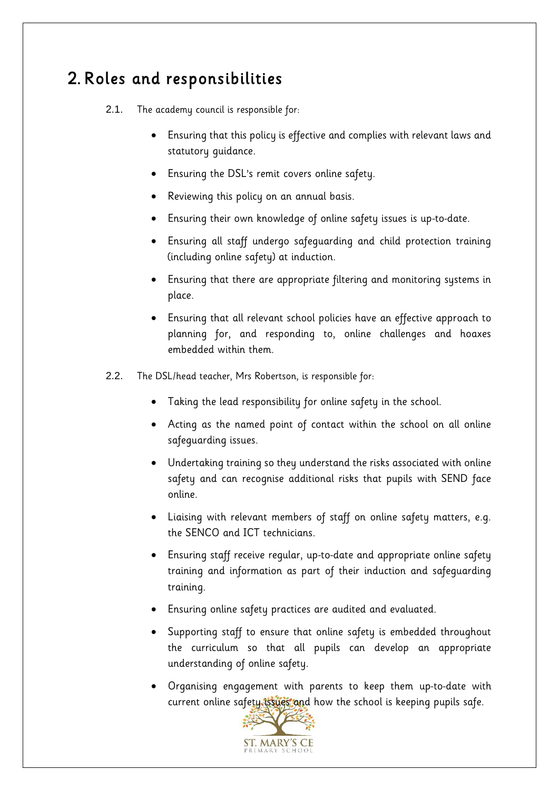### <span id="page-4-0"></span>2. Roles and responsibilities

- 2.1. The academy council is responsible for:
	- Ensuring that this policy is effective and complies with relevant laws and statutory guidance.
	- Ensuring the DSL's remit covers online safety.
	- Reviewing this policy on an annual basis.
	- Ensuring their own knowledge of online safety issues is up-to-date.
	- Ensuring all staff undergo safeguarding and child protection training (including online safety) at induction.
	- Ensuring that there are appropriate filtering and monitoring systems in place.
	- Ensuring that all relevant school policies have an effective approach to planning for, and responding to, online challenges and hoaxes embedded within them.
- 2.2. The DSL/head teacher, Mrs Robertson, is responsible for:
	- Taking the lead responsibility for online safety in the school.
	- Acting as the named point of contact within the school on all online safeguarding issues.
	- Undertaking training so they understand the risks associated with online safety and can recognise additional risks that pupils with SEND face online.
	- Liaising with relevant members of staff on online safety matters, e.g. the SENCO and ICT technicians.
	- Ensuring staff receive regular, up-to-date and appropriate online safety training and information as part of their induction and safeguarding training.
	- Ensuring online safety practices are audited and evaluated.
	- Supporting staff to ensure that online safety is embedded throughout the curriculum so that all pupils can develop an appropriate understanding of online safety.
	- Organising engagement with parents to keep them up-to-date with current online safety issues and how the school is keeping pupils safe.

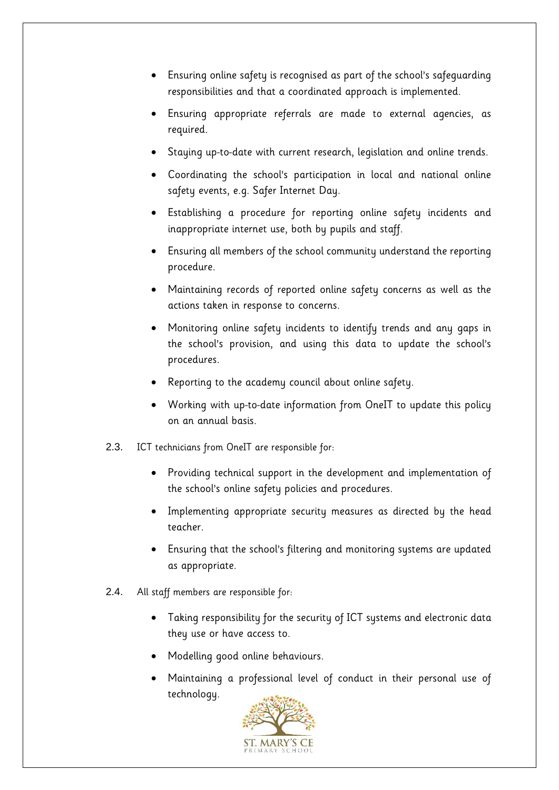- Ensuring online safety is recognised as part of the school's safeguarding responsibilities and that a coordinated approach is implemented.
- Ensuring appropriate referrals are made to external agencies, as required.
- Staying up-to-date with current research, legislation and online trends.
- Coordinating the school's participation in local and national online safety events, e.g. Safer Internet Day.
- Establishing a procedure for reporting online safety incidents and inappropriate internet use, both by pupils and staff.
- Ensuring all members of the school community understand the reporting procedure.
- Maintaining records of reported online safety concerns as well as the actions taken in response to concerns.
- Monitoring online safety incidents to identify trends and any gaps in the school's provision, and using this data to update the school's procedures.
- Reporting to the academy council about online safety.
- Working with up-to-date information from OneIT to update this policy on an annual basis.
- 2.3. ICT technicians from OneIT are responsible for:
	- Providing technical support in the development and implementation of the school's online safety policies and procedures.
	- Implementing appropriate security measures as directed by the head teacher.
	- Ensuring that the school's filtering and monitoring systems are updated as appropriate.
- 2.4. All staff members are responsible for:
	- Taking responsibility for the security of ICT systems and electronic data they use or have access to.
	- Modelling good online behaviours.
	- Maintaining a professional level of conduct in their personal use of technology.

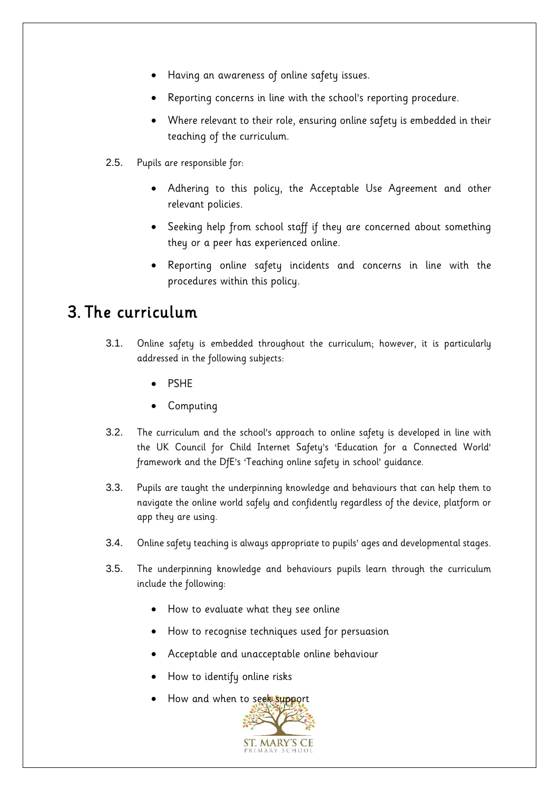- Having an awareness of online safety issues.
- Reporting concerns in line with the school's reporting procedure.
- Where relevant to their role, ensuring online safety is embedded in their teaching of the curriculum.
- 2.5. Pupils are responsible for:
	- Adhering to this policy, the Acceptable Use Agreement and other relevant policies.
	- Seeking help from school staff if they are concerned about something they or a peer has experienced online.
	- Reporting online safety incidents and concerns in line with the procedures within this policy.

#### <span id="page-6-0"></span>3. The curriculum

- 3.1. Online safety is embedded throughout the curriculum; however, it is particularly addressed in the following subjects:
	- **PSHF**
	- **Computing**
- 3.2. The curriculum and the school's approach to online safety is developed in line with the UK Council for Child Internet Safety's 'Education for a Connected World' framework and the DfE's 'Teaching online safety in school' guidance.
- 3.3. Pupils are taught the underpinning knowledge and behaviours that can help them to navigate the online world safely and confidently regardless of the device, platform or app they are using.
- 3.4. Online safety teaching is always appropriate to pupils' ages and developmental stages.
- 3.5. The underpinning knowledge and behaviours pupils learn through the curriculum include the following:
	- How to evaluate what they see online
	- How to recognise techniques used for persuasion
	- Acceptable and unacceptable online behaviour
	- How to identify online risks
	- How and when to seek support

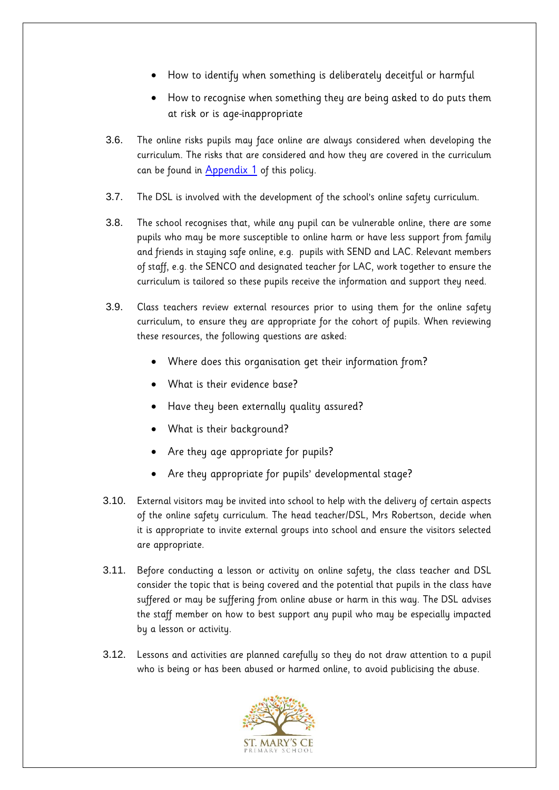- How to identify when something is deliberately deceitful or harmful
- How to recognise when something they are being asked to do puts them at risk or is age-inappropriate
- 3.6. The online risks pupils may face online are always considered when developing the curriculum. The risks that are considered and how they are covered in the curriculum can be found in [Appendix 1](#page-25-0) of this policy.
- 3.7. The DSL is involved with the development of the school's online safety curriculum.
- 3.8. The school recognises that, while any pupil can be vulnerable online, there are some pupils who may be more susceptible to online harm or have less support from family and friends in staying safe online, e.g. pupils with SEND and LAC. Relevant members of staff, e.g. the SENCO and designated teacher for LAC, work together to ensure the curriculum is tailored so these pupils receive the information and support they need.
- 3.9. Class teachers review external resources prior to using them for the online safety curriculum, to ensure they are appropriate for the cohort of pupils. When reviewing these resources, the following questions are asked:
	- Where does this organisation get their information from?
	- What is their evidence base?
	- Have they been externally quality assured?
	- What is their background?
	- Are they age appropriate for pupils?
	- Are they appropriate for pupils' developmental stage?
- 3.10. External visitors may be invited into school to help with the delivery of certain aspects of the online safety curriculum. The head teacher/DSL, Mrs Robertson, decide when it is appropriate to invite external groups into school and ensure the visitors selected are appropriate.
- 3.11. Before conducting a lesson or activity on online safety, the class teacher and DSL consider the topic that is being covered and the potential that pupils in the class have suffered or may be suffering from online abuse or harm in this way. The DSL advises the staff member on how to best support any pupil who may be especially impacted by a lesson or activity.
- 3.12. Lessons and activities are planned carefully so they do not draw attention to a pupil who is being or has been abused or harmed online, to avoid publicising the abuse.

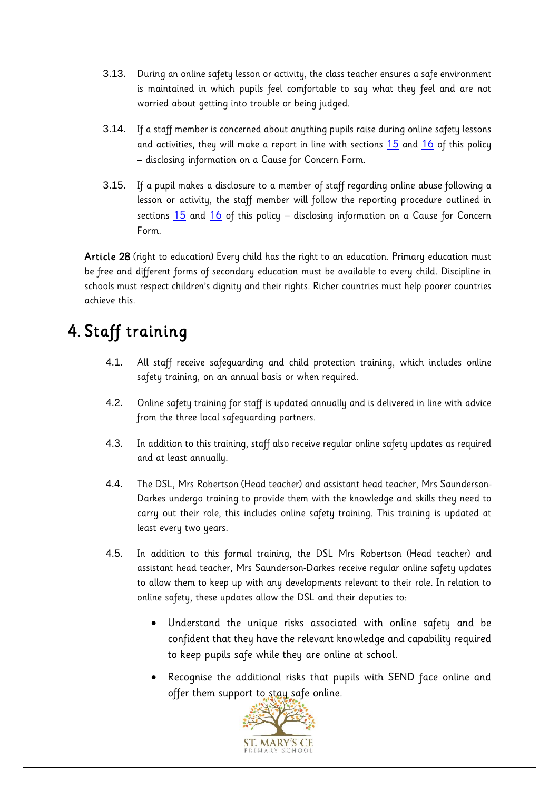- 3.13. During an online safety lesson or activity, the class teacher ensures a safe environment is maintained in which pupils feel comfortable to say what they feel and are not worried about getting into trouble or being judged.
- 3.14. If a staff member is concerned about anything pupils raise during online safety lessons and activities, they will make a report in line with sections [15](#page-16-1) and [16](#page-17-0) of this policy – disclosing information on a Cause for Concern Form.
- 3.15. If a pupil makes a disclosure to a member of staff regarding online abuse following a lesson or activity, the staff member will follow the reporting procedure outlined in sections  $15$  and  $16$  of this policy – disclosing information on a Cause for Concern Form.

Article 28 (right to education) Every child has the right to an education. Primary education must be free and different forms of secondary education must be available to every child. Discipline in schools must respect children's dignity and their rights. Richer countries must help poorer countries achieve this.

# <span id="page-8-0"></span>4. Staff training

- 4.1. All staff receive safeguarding and child protection training, which includes online safety training, on an annual basis or when required.
- 4.2. Online safety training for staff is updated annually and is delivered in line with advice from the three local safeguarding partners.
- 4.3. In addition to this training, staff also receive regular online safety updates as required and at least annually.
- 4.4. The DSL, Mrs Robertson (Head teacher) and assistant head teacher, Mrs Saunderson-Darkes undergo training to provide them with the knowledge and skills they need to carry out their role, this includes online safety training. This training is updated at least every two years.
- 4.5. In addition to this formal training, the DSL Mrs Robertson (Head teacher) and assistant head teacher, Mrs Saunderson-Darkes receive regular online safety updates to allow them to keep up with any developments relevant to their role. In relation to online safety, these updates allow the DSL and their deputies to:
	- Understand the unique risks associated with online safety and be confident that they have the relevant knowledge and capability required to keep pupils safe while they are online at school.
	- Recognise the additional risks that pupils with SEND face online and offer them support to stay safe online.

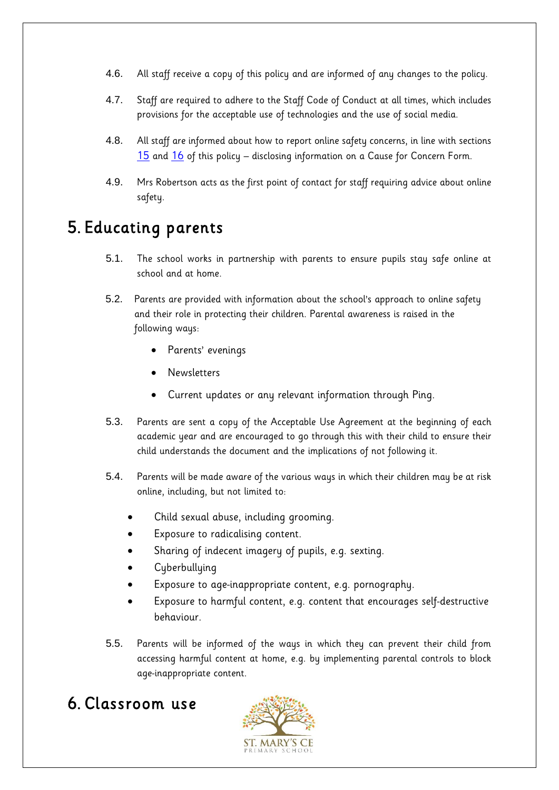- 4.6. All staff receive a copy of this policy and are informed of any changes to the policy.
- 4.7. Staff are required to adhere to the Staff Code of Conduct at all times, which includes provisions for the acceptable use of technologies and the use of social media.
- 4.8. All staff are informed about how to report online safety concerns, in line with sections [15](#page-16-1) and [16](#page-17-0) of this policy – disclosing information on a Cause for Concern Form.
- 4.9. Mrs Robertson acts as the first point of contact for staff requiring advice about online safety.

#### <span id="page-9-0"></span>5. Educating parents

- 5.1. The school works in partnership with parents to ensure pupils stay safe online at school and at home.
- 5.2. Parents are provided with information about the school's approach to online safety and their role in protecting their children. Parental awareness is raised in the following ways:
	- Parents' evenings
	- **Newsletters**
	- Current updates or any relevant information through Ping.
- 5.3. Parents are sent a copy of the Acceptable Use Agreement at the beginning of each academic year and are encouraged to go through this with their child to ensure their child understands the document and the implications of not following it.
- 5.4. Parents will be made aware of the various ways in which their children may be at risk online, including, but not limited to:
	- Child sexual abuse, including grooming.
	- Exposure to radicalising content.
	- Sharing of indecent imagery of pupils, e.g. sexting.
	- Cyberbullying
	- Exposure to age-inappropriate content, e.g. pornography.
	- Exposure to harmful content, e.g. content that encourages self-destructive behaviour.
- 5.5. Parents will be informed of the ways in which they can prevent their child from accessing harmful content at home, e.g. by implementing parental controls to block age-inappropriate content.

# <span id="page-9-1"></span>6. Classroom use

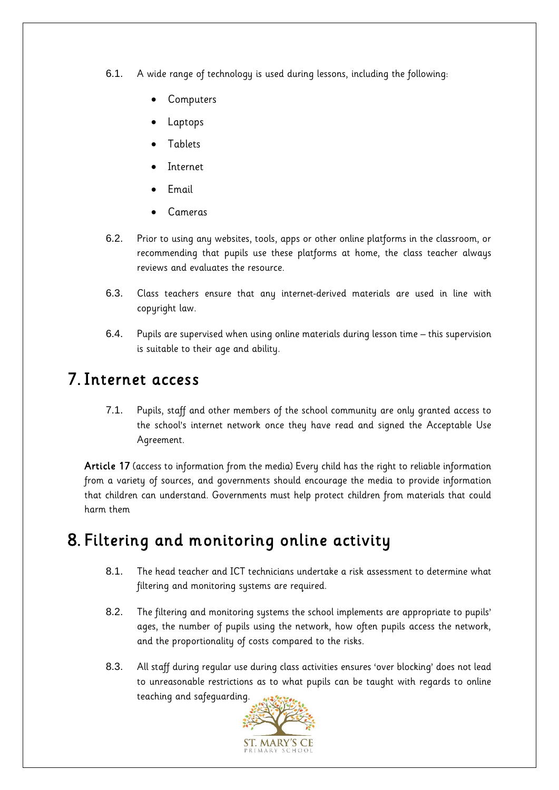- 6.1. A wide range of technology is used during lessons, including the following:
	- **Computers**
	- **Laptops**
	- **Tablets**
	- **Internet**
	- Email
	- Cameras
- 6.2. Prior to using any websites, tools, apps or other online platforms in the classroom, or recommending that pupils use these platforms at home, the class teacher always reviews and evaluates the resource.
- 6.3. Class teachers ensure that any internet-derived materials are used in line with copyright law.
- 6.4. Pupils are supervised when using online materials during lesson time this supervision is suitable to their age and ability.

#### <span id="page-10-0"></span>7. Internet access

7.1. Pupils, staff and other members of the school community are only granted access to the school's internet network once they have read and signed the Acceptable Use Agreement.

Article 17 (access to information from the media) Every child has the right to reliable information from a variety of sources, and governments should encourage the media to provide information that children can understand. Governments must help protect children from materials that could harm them

#### <span id="page-10-1"></span>8. Filtering and monitoring online activity

- 8.1. The head teacher and ICT technicians undertake a risk assessment to determine what filtering and monitoring systems are required.
- 8.2. The filtering and monitoring systems the school implements are appropriate to pupils' ages, the number of pupils using the network, how often pupils access the network, and the proportionality of costs compared to the risks.
- 8.3. All staff during regular use during class activities ensures 'over blocking' does not lead to unreasonable restrictions as to what pupils can be taught with regards to online teaching and safeguarding.

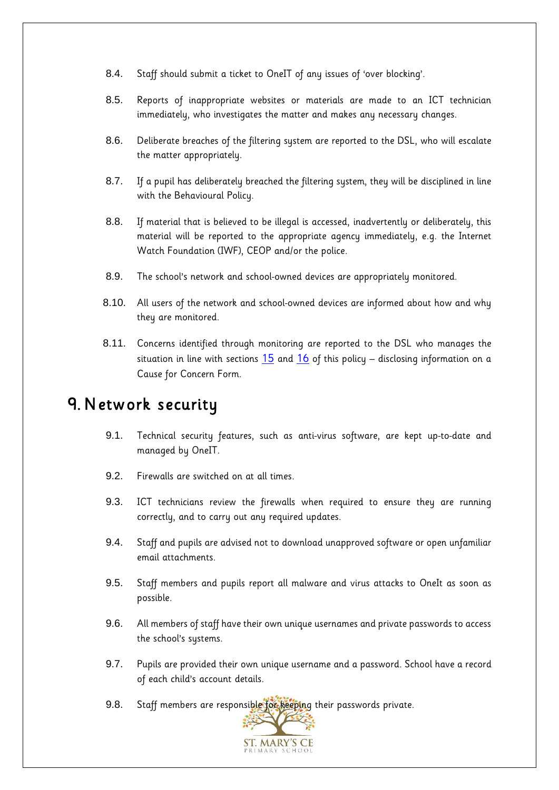- 8.4. Staff should submit a ticket to OneIT of any issues of 'over blocking'.
- 8.5. Reports of inappropriate websites or materials are made to an ICT technician immediately, who investigates the matter and makes any necessary changes.
- 8.6. Deliberate breaches of the filtering system are reported to the DSL, who will escalate the matter appropriately.
- 8.7. If a pupil has deliberately breached the filtering system, they will be disciplined in line with the Behavioural Policy.
- 8.8. If material that is believed to be illegal is accessed, inadvertently or deliberately, this material will be reported to the appropriate agency immediately, e.g. the Internet Watch Foundation (IWF), CEOP and/or the police.
- 8.9. The school's network and school-owned devices are appropriately monitored.
- 8.10. All users of the network and school-owned devices are informed about how and why they are monitored.
- 8.11. Concerns identified through monitoring are reported to the DSL who manages the situation in line with sections  $15$  and  $16$  of this policy – disclosing information on a Cause for Concern Form.

#### <span id="page-11-0"></span>9. Network security

- 9.1. Technical security features, such as anti-virus software, are kept up-to-date and managed by OneIT.
- 9.2. Firewalls are switched on at all times.
- 9.3. ICT technicians review the firewalls when required to ensure they are running correctly, and to carry out any required updates.
- 9.4. Staff and pupils are advised not to download unapproved software or open unfamiliar email attachments.
- 9.5. Staff members and pupils report all malware and virus attacks to OneIt as soon as possible.
- 9.6. All members of staff have their own unique usernames and private passwords to access the school's systems.
- 9.7. Pupils are provided their own unique username and a password. School have a record of each child's account details.
- 9.8. Staff members are responsible for keeping their passwords private.

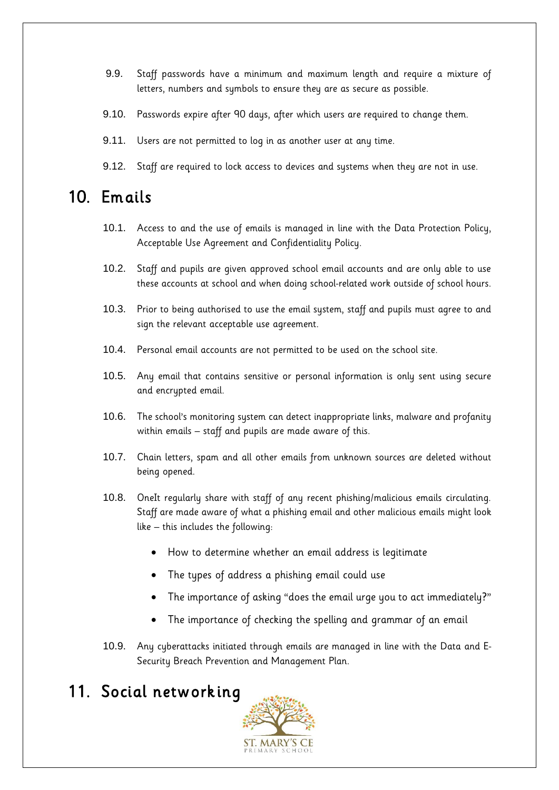- 9.9. Staff passwords have a minimum and maximum length and require a mixture of letters, numbers and symbols to ensure they are as secure as possible.
- 9.10. Passwords expire after 90 days, after which users are required to change them.
- 9.11. Users are not permitted to log in as another user at any time.
- 9.12. Staff are required to lock access to devices and systems when they are not in use.

#### <span id="page-12-0"></span>10. Emails

- 10.1. Access to and the use of emails is managed in line with the Data Protection Policy, Acceptable Use Agreement and Confidentiality Policy.
- 10.2. Staff and pupils are given approved school email accounts and are only able to use these accounts at school and when doing school-related work outside of school hours.
- 10.3. Prior to being authorised to use the email system, staff and pupils must agree to and sign the relevant acceptable use agreement.
- 10.4. Personal email accounts are not permitted to be used on the school site.
- 10.5. Any email that contains sensitive or personal information is only sent using secure and encrypted email.
- 10.6. The school's monitoring system can detect inappropriate links, malware and profanity within emails – staff and pupils are made aware of this.
- 10.7. Chain letters, spam and all other emails from unknown sources are deleted without being opened.
- 10.8. OneIt regularly share with staff of any recent phishing/malicious emails circulating. Staff are made aware of what a phishing email and other malicious emails might look like – this includes the following:
	- How to determine whether an email address is legitimate
	- The types of address a phishing email could use
	- The importance of asking "does the email urge you to act immediately?"
	- The importance of checking the spelling and grammar of an email
- 10.9. Any cyberattacks initiated through emails are managed in line with the Data and E-Security Breach Prevention and Management Plan.

#### <span id="page-12-1"></span>11. Social networking

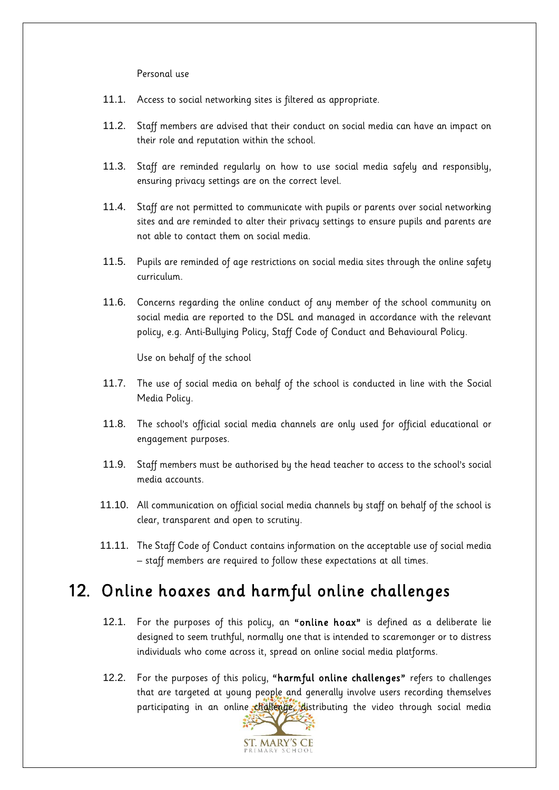Personal use

- 11.1. Access to social networking sites is filtered as appropriate.
- 11.2. Staff members are advised that their conduct on social media can have an impact on their role and reputation within the school.
- 11.3. Staff are reminded regularly on how to use social media safely and responsibly, ensuring privacy settings are on the correct level.
- 11.4. Staff are not permitted to communicate with pupils or parents over social networking sites and are reminded to alter their privacy settings to ensure pupils and parents are not able to contact them on social media.
- 11.5. Pupils are reminded of age restrictions on social media sites through the online safety curriculum.
- 11.6. Concerns regarding the online conduct of any member of the school community on social media are reported to the DSL and managed in accordance with the relevant policy, e.g. Anti-Bullying Policy, Staff Code of Conduct and Behavioural Policy.

Use on behalf of the school

- 11.7. The use of social media on behalf of the school is conducted in line with the Social Media Policy.
- 11.8. The school's official social media channels are only used for official educational or engagement purposes.
- 11.9. Staff members must be authorised by the head teacher to access to the school's social media accounts.
- 11.10. All communication on official social media channels by staff on behalf of the school is clear, transparent and open to scrutiny.
- 11.11. The Staff Code of Conduct contains information on the acceptable use of social media – staff members are required to follow these expectations at all times.

#### <span id="page-13-0"></span>12. Online hoaxes and harmful online challenges

- 12.1. For the purposes of this policy, an "online hoax" is defined as a deliberate lie designed to seem truthful, normally one that is intended to scaremonger or to distress individuals who come across it, spread on online social media platforms.
- 12.2. For the purposes of this policy, "harmful online challenges" refers to challenges that are targeted at young people and generally involve users recording themselves participating in an online challenge, distributing the video through social media

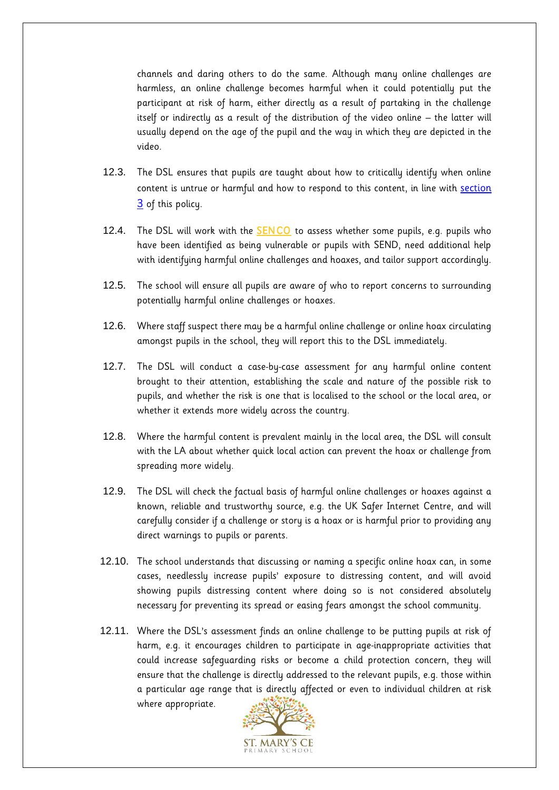channels and daring others to do the same. Although many online challenges are harmless, an online challenge becomes harmful when it could potentially put the participant at risk of harm, either directly as a result of partaking in the challenge itself or indirectly as a result of the distribution of the video online – the latter will usually depend on the age of the pupil and the way in which they are depicted in the video.

- 12.3. The DSL ensures that pupils are taught about how to critically identify when online content is untrue or harmful and how to respond to this content, in line with section 3 of this policy.
- 12.4. The DSL will work with the **SENCO** to assess whether some pupils, e.g. pupils who have been identified as being vulnerable or pupils with SEND, need additional help with identifying harmful online challenges and hoaxes, and tailor support accordingly.
- 12.5. The school will ensure all pupils are aware of who to report concerns to surrounding potentially harmful online challenges or hoaxes.
- 12.6. Where staff suspect there may be a harmful online challenge or online hoax circulating amongst pupils in the school, they will report this to the DSL immediately.
- 12.7. The DSL will conduct a case-by-case assessment for any harmful online content brought to their attention, establishing the scale and nature of the possible risk to pupils, and whether the risk is one that is localised to the school or the local area, or whether it extends more widely across the country.
- 12.8. Where the harmful content is prevalent mainly in the local area, the DSL will consult with the LA about whether quick local action can prevent the hoax or challenge from spreading more widely.
- 12.9. The DSL will check the factual basis of harmful online challenges or hoaxes against a known, reliable and trustworthy source, e.g. the UK Safer Internet Centre, and will carefully consider if a challenge or story is a hoax or is harmful prior to providing any direct warnings to pupils or parents.
- 12.10. The school understands that discussing or naming a specific online hoax can, in some cases, needlessly increase pupils' exposure to distressing content, and will avoid showing pupils distressing content where doing so is not considered absolutely necessary for preventing its spread or easing fears amongst the school community.
- 12.11. Where the DSL's assessment finds an online challenge to be putting pupils at risk of harm, e.g. it encourages children to participate in age-inappropriate activities that could increase safeguarding risks or become a child protection concern, they will ensure that the challenge is directly addressed to the relevant pupils, e.g. those within a particular age range that is directly affected or even to individual children at risk where appropriate.

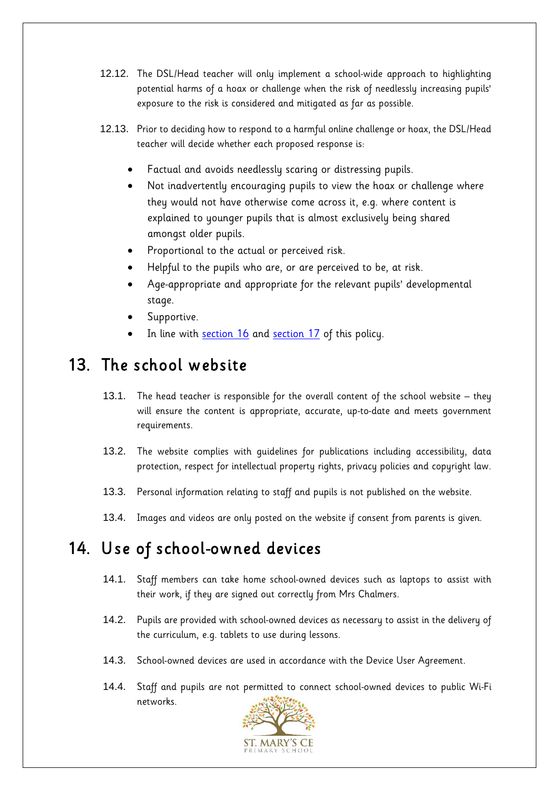- 12.12. The DSL/Head teacher will only implement a school-wide approach to highlighting potential harms of a hoax or challenge when the risk of needlessly increasing pupils' exposure to the risk is considered and mitigated as far as possible.
- 12.13. Prior to deciding how to respond to a harmful online challenge or hoax, the DSL/Head teacher will decide whether each proposed response is:
	- Factual and avoids needlessly scaring or distressing pupils.
	- Not inadvertently encouraging pupils to view the hoax or challenge where they would not have otherwise come across it, e.g. where content is explained to younger pupils that is almost exclusively being shared amongst older pupils.
	- Proportional to the actual or perceived risk.
	- Helpful to the pupils who are, or are perceived to be, at risk.
	- Age-appropriate and appropriate for the relevant pupils' developmental stage.
	- Supportive.
	- In line with section 16 and section 17 of this policy.

#### 13. The school website

- 13.1. The head teacher is responsible for the overall content of the school website they will ensure the content is appropriate, accurate, up-to-date and meets government requirements.
- 13.2. The website complies with guidelines for publications including accessibility, data protection, respect for intellectual property rights, privacy policies and copyright law.
- 13.3. Personal information relating to staff and pupils is not published on the website.
- 13.4. Images and videos are only posted on the website if consent from parents is given.

#### <span id="page-15-0"></span>14. Use of school-owned devices

- 14.1. Staff members can take home school-owned devices such as laptops to assist with their work, if they are signed out correctly from Mrs Chalmers.
- 14.2. Pupils are provided with school-owned devices as necessary to assist in the delivery of the curriculum, e.g. tablets to use during lessons.
- 14.3. School-owned devices are used in accordance with the Device User Agreement.
- 14.4. Staff and pupils are not permitted to connect school-owned devices to public Wi-Fi networks.

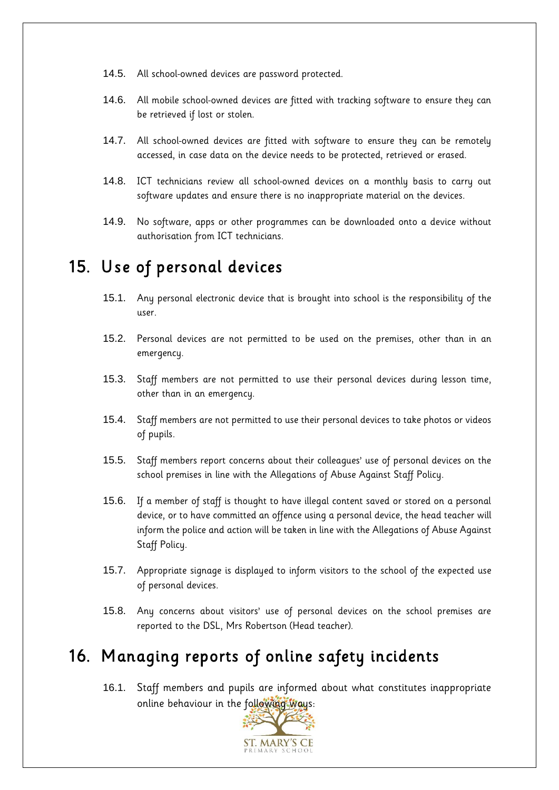- 14.5. All school-owned devices are password protected.
- 14.6. All mobile school-owned devices are fitted with tracking software to ensure they can be retrieved if lost or stolen.
- 14.7. All school-owned devices are fitted with software to ensure they can be remotely accessed, in case data on the device needs to be protected, retrieved or erased.
- 14.8. ICT technicians review all school-owned devices on a monthly basis to carry out software updates and ensure there is no inappropriate material on the devices.
- 14.9. No software, apps or other programmes can be downloaded onto a device without authorisation from ICT technicians.

#### <span id="page-16-0"></span>15. Use of personal devices

- 15.1. Any personal electronic device that is brought into school is the responsibility of the user.
- 15.2. Personal devices are not permitted to be used on the premises, other than in an emergency.
- 15.3. Staff members are not permitted to use their personal devices during lesson time, other than in an emergency.
- 15.4. Staff members are not permitted to use their personal devices to take photos or videos of pupils.
- 15.5. Staff members report concerns about their colleagues' use of personal devices on the school premises in line with the Allegations of Abuse Against Staff Policy.
- 15.6. If a member of staff is thought to have illegal content saved or stored on a personal device, or to have committed an offence using a personal device, the head teacher will inform the police and action will be taken in line with the Allegations of Abuse Against Staff Policy.
- 15.7. Appropriate signage is displayed to inform visitors to the school of the expected use of personal devices.
- 15.8. Any concerns about visitors' use of personal devices on the school premises are reported to the DSL, Mrs Robertson (Head teacher).

## <span id="page-16-1"></span>16. Managing reports of online safety incidents

16.1. Staff members and pupils are informed about what constitutes inappropriate online behaviour in the following ways:

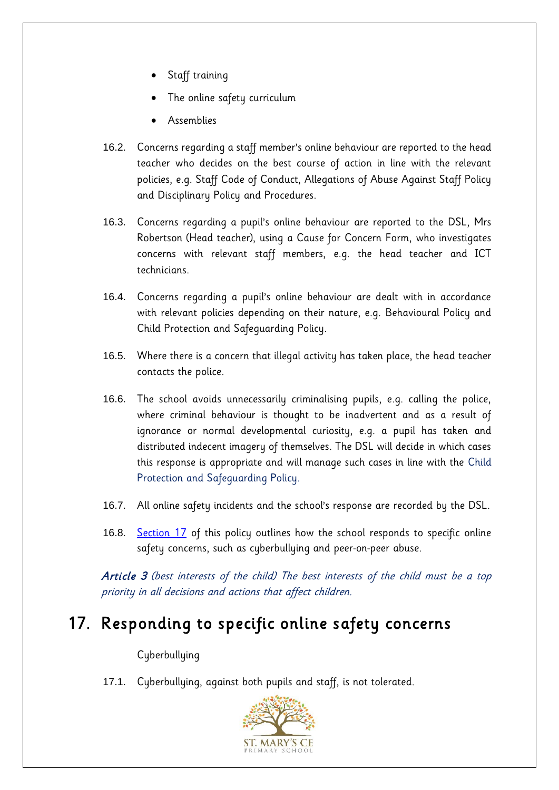- Staff training
- The online safety curriculum
- Assemblies
- 16.2. Concerns regarding a staff member's online behaviour are reported to the head teacher who decides on the best course of action in line with the relevant policies, e.g. Staff Code of Conduct, Allegations of Abuse Against Staff Policy and Disciplinary Policy and Procedures.
- 16.3. Concerns regarding a pupil's online behaviour are reported to the DSL, Mrs Robertson (Head teacher), using a Cause for Concern Form, who investigates concerns with relevant staff members, e.g. the head teacher and ICT technicians.
- 16.4. Concerns regarding a pupil's online behaviour are dealt with in accordance with relevant policies depending on their nature, e.g. Behavioural Policy and Child Protection and Safeguarding Policy.
- 16.5. Where there is a concern that illegal activity has taken place, the head teacher contacts the police.
- 16.6. The school avoids unnecessarily criminalising pupils, e.g. calling the police, where criminal behaviour is thought to be inadvertent and as a result of ignorance or normal developmental curiosity, e.g. a pupil has taken and distributed indecent imagery of themselves. The DSL will decide in which cases this response is appropriate and will manage such cases in line with the Child Protection and Safeguarding Policy.
- 16.7. All online safety incidents and the school's response are recorded by the DSL.
- 16.8. [Section 17](#page-17-0) of this policy outlines how the school responds to specific online safety concerns, such as cyberbullying and peer-on-peer abuse.

Article 3 (best interests of the child) The best interests of the child must be a top priority in all decisions and actions that affect children.

#### <span id="page-17-0"></span>17. Responding to specific online safety concerns

#### Cyberbullying

17.1. Cyberbullying, against both pupils and staff, is not tolerated.

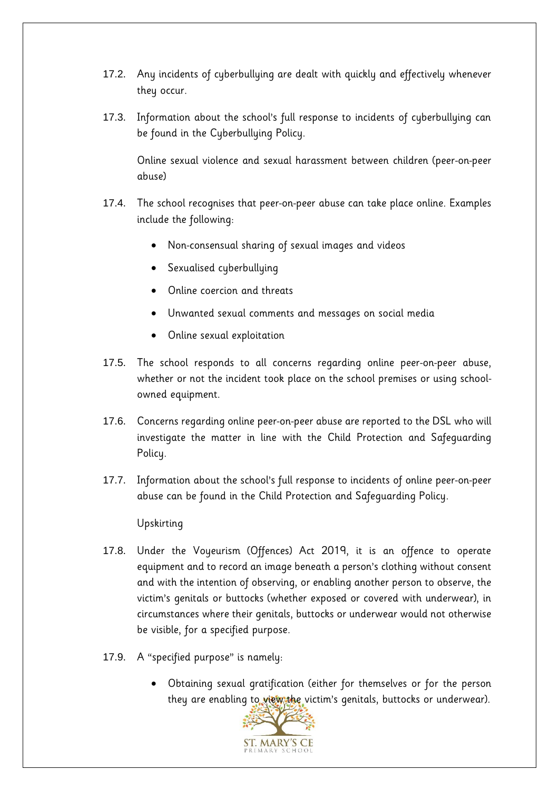- 17.2. Any incidents of cyberbullying are dealt with quickly and effectively whenever they occur.
- 17.3. Information about the school's full response to incidents of cyberbullying can be found in the Cyberbullying Policy.

Online sexual violence and sexual harassment between children (peer-on-peer abuse)

- 17.4. The school recognises that peer-on-peer abuse can take place online. Examples include the following:
	- Non-consensual sharing of sexual images and videos
	- Sexualised cyberbullying
	- Online coercion and threats
	- Unwanted sexual comments and messages on social media
	- Online sexual exploitation
- 17.5. The school responds to all concerns regarding online peer-on-peer abuse, whether or not the incident took place on the school premises or using schoolowned equipment.
- 17.6. Concerns regarding online peer-on-peer abuse are reported to the DSL who will investigate the matter in line with the Child Protection and Safeguarding Policy.
- 17.7. Information about the school's full response to incidents of online peer-on-peer abuse can be found in the Child Protection and Safeguarding Policy.

Upskirting

- 17.8. Under the Voyeurism (Offences) Act 2019, it is an offence to operate equipment and to record an image beneath a person's clothing without consent and with the intention of observing, or enabling another person to observe, the victim's genitals or buttocks (whether exposed or covered with underwear), in circumstances where their genitals, buttocks or underwear would not otherwise be visible, for a specified purpose.
- 17.9. A "specified purpose" is namely:
	- Obtaining sexual gratification (either for themselves or for the person they are enabling to view the victim's genitals, buttocks or underwear).

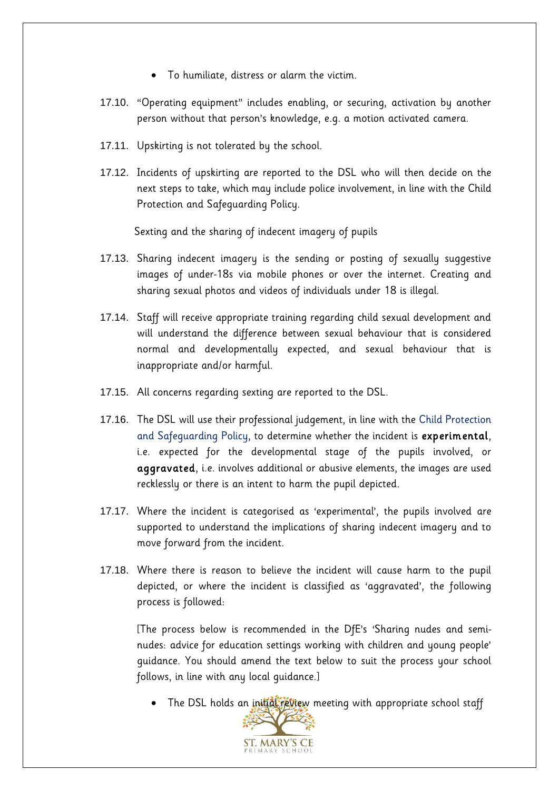- To humiliate, distress or alarm the victim.
- 17.10. "Operating equipment" includes enabling, or securing, activation by another person without that person's knowledge, e.g. a motion activated camera.
- 17.11. Upskirting is not tolerated by the school.
- 17.12. Incidents of upskirting are reported to the DSL who will then decide on the next steps to take, which may include police involvement, in line with the Child Protection and Safeguarding Policy.

Sexting and the sharing of indecent imagery of pupils

- 17.13. Sharing indecent imagery is the sending or posting of sexually suggestive images of under-18s via mobile phones or over the internet. Creating and sharing sexual photos and videos of individuals under 18 is illegal.
- 17.14. Staff will receive appropriate training regarding child sexual development and will understand the difference between sexual behaviour that is considered normal and developmentally expected, and sexual behaviour that is inappropriate and/or harmful.
- 17.15. All concerns regarding sexting are reported to the DSL.
- 17.16. The DSL will use their professional judgement, in line with the Child Protection and Safeguarding Policy, to determine whether the incident is experimental, i.e. expected for the developmental stage of the pupils involved, or aggravated, i.e. involves additional or abusive elements, the images are used recklessly or there is an intent to harm the pupil depicted.
- 17.17. Where the incident is categorised as 'experimental', the pupils involved are supported to understand the implications of sharing indecent imagery and to move forward from the incident.
- 17.18. Where there is reason to believe the incident will cause harm to the pupil depicted, or where the incident is classified as 'aggravated', the following process is followed:

[The process below is recommended in the DfE's 'Sharing nudes and seminudes: advice for education settings working with children and young people' guidance. You should amend the text below to suit the process your school follows, in line with any local guidance.]

• The DSL holds an initial review meeting with appropriate school staff

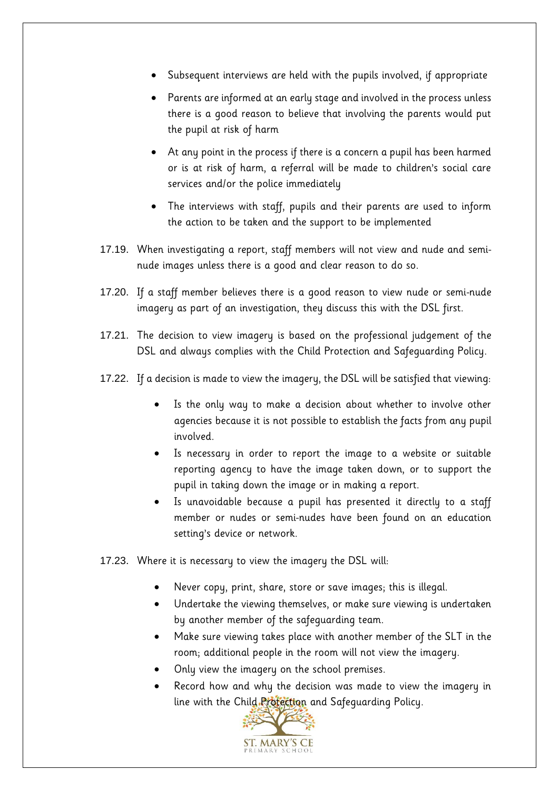- Subsequent interviews are held with the pupils involved, if appropriate
- Parents are informed at an early stage and involved in the process unless there is a good reason to believe that involving the parents would put the pupil at risk of harm
- At any point in the process if there is a concern a pupil has been harmed or is at risk of harm, a referral will be made to children's social care services and/or the police immediately
- The interviews with staff, pupils and their parents are used to inform the action to be taken and the support to be implemented
- 17.19. When investigating a report, staff members will not view and nude and seminude images unless there is a good and clear reason to do so.
- 17.20. If a staff member believes there is a good reason to view nude or semi-nude imagery as part of an investigation, they discuss this with the DSL first.
- 17.21. The decision to view imagery is based on the professional judgement of the DSL and always complies with the Child Protection and Safeguarding Policy.
- 17.22. If a decision is made to view the imagery, the DSL will be satisfied that viewing:
	- Is the only way to make a decision about whether to involve other agencies because it is not possible to establish the facts from any pupil involved.
	- Is necessary in order to report the image to a website or suitable reporting agency to have the image taken down, or to support the pupil in taking down the image or in making a report.
	- Is unavoidable because a pupil has presented it directly to a staff member or nudes or semi-nudes have been found on an education setting's device or network.
- 17.23. Where it is necessary to view the imagery the DSL will:
	- Never copy, print, share, store or save images; this is illegal.
	- Undertake the viewing themselves, or make sure viewing is undertaken by another member of the safeguarding team.
	- Make sure viewing takes place with another member of the SLT in the room; additional people in the room will not view the imagery.
	- Only view the imagery on the school premises.
	- Record how and why the decision was made to view the imagery in line with the Child Rrotection and Safeguarding Policy.

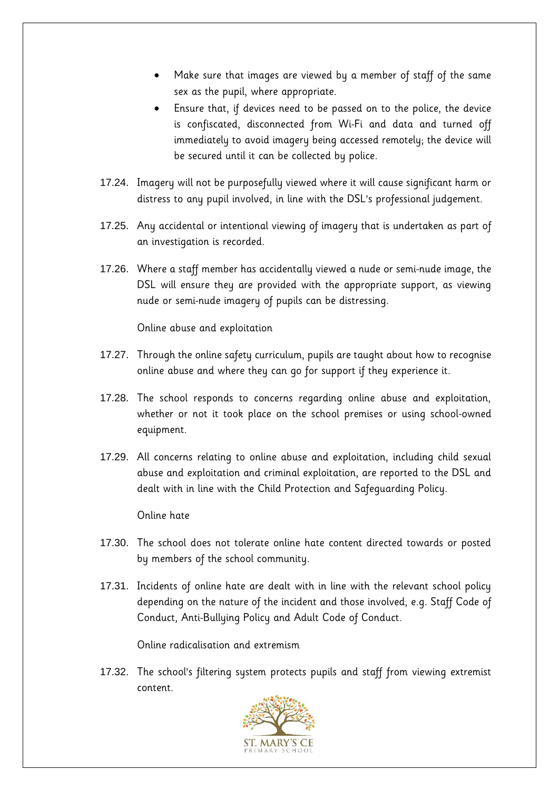- Make sure that images are viewed by a member of staff of the same sex as the pupil, where appropriate.
- Ensure that, if devices need to be passed on to the police, the device is confiscated, disconnected from Wi-Fi and data and turned off immediately to avoid imagery being accessed remotely; the device will be secured until it can be collected by police.
- 17.24. Imagery will not be purposefully viewed where it will cause significant harm or distress to any pupil involved, in line with the DSL's professional judgement.
- 17.25. Any accidental or intentional viewing of imagery that is undertaken as part of an investigation is recorded.
- 17.26. Where a staff member has accidentally viewed a nude or semi-nude image, the DSL will ensure they are provided with the appropriate support, as viewing nude or semi-nude imagery of pupils can be distressing.

Online abuse and exploitation

- 17.27. Through the online safety curriculum, pupils are taught about how to recognise online abuse and where they can go for support if they experience it.
- 17.28. The school responds to concerns regarding online abuse and exploitation, whether or not it took place on the school premises or using school-owned equipment.
- 17.29. All concerns relating to online abuse and exploitation, including child sexual abuse and exploitation and criminal exploitation, are reported to the DSL and dealt with in line with the Child Protection and Safeguarding Policy.

Online hate

- 17.30. The school does not tolerate online hate content directed towards or posted by members of the school community.
- 17.31. Incidents of online hate are dealt with in line with the relevant school policy depending on the nature of the incident and those involved, e.g. Staff Code of Conduct, Anti-Bullying Policy and Adult Code of Conduct.

Online radicalisation and extremism

17.32. The school's filtering system protects pupils and staff from viewing extremist content.

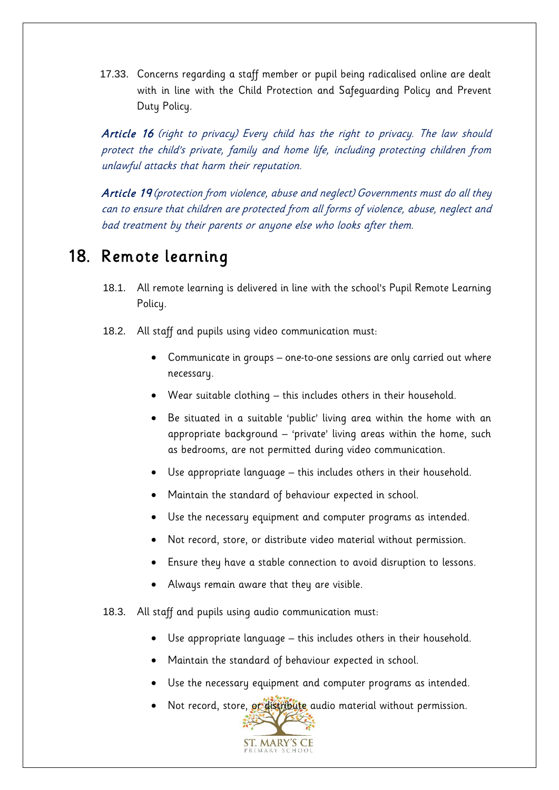17.33. Concerns regarding a staff member or pupil being radicalised online are dealt with in line with the Child Protection and Safeguarding Policy and Prevent Duty Policy.

Article 16 (right to privacy) Every child has the right to privacy. The law should protect the child's private, family and home life, including protecting children from unlawful attacks that harm their reputation.

Article 19 (protection from violence, abuse and neglect) Governments must do all they can to ensure that children are protected from all forms of violence, abuse, neglect and bad treatment by their parents or anyone else who looks after them.

#### <span id="page-22-0"></span>18. Remote learning

- 18.1. All remote learning is delivered in line with the school's Pupil Remote Learning Policy.
- 18.2. All staff and pupils using video communication must:
	- Communicate in groups one-to-one sessions are only carried out where necessary.
	- Wear suitable clothing this includes others in their household.
	- Be situated in a suitable 'public' living area within the home with an appropriate background – 'private' living areas within the home, such as bedrooms, are not permitted during video communication.
	- Use appropriate language this includes others in their household.
	- Maintain the standard of behaviour expected in school.
	- Use the necessary equipment and computer programs as intended.
	- Not record, store, or distribute video material without permission.
	- Ensure they have a stable connection to avoid disruption to lessons.
	- Always remain aware that they are visible.
- 18.3. All staff and pupils using audio communication must:
	- Use appropriate language this includes others in their household.
	- Maintain the standard of behaviour expected in school.
	- Use the necessary equipment and computer programs as intended.
	- Not record, store, or distribute audio material without permission.

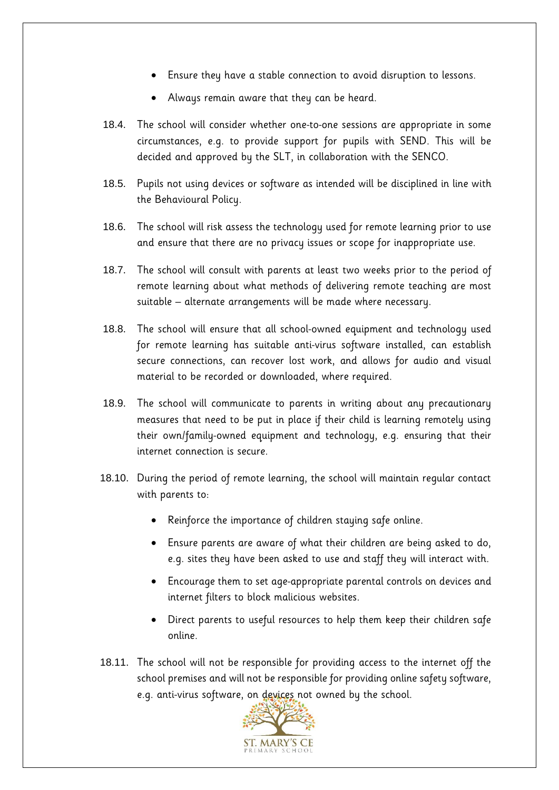- Ensure they have a stable connection to avoid disruption to lessons.
- Always remain aware that they can be heard.
- 18.4. The school will consider whether one-to-one sessions are appropriate in some circumstances, e.g. to provide support for pupils with SEND. This will be decided and approved by the SLT, in collaboration with the SENCO.
- 18.5. Pupils not using devices or software as intended will be disciplined in line with the Behavioural Policy.
- 18.6. The school will risk assess the technology used for remote learning prior to use and ensure that there are no privacy issues or scope for inappropriate use.
- 18.7. The school will consult with parents at least two weeks prior to the period of remote learning about what methods of delivering remote teaching are most suitable – alternate arrangements will be made where necessary.
- 18.8. The school will ensure that all school-owned equipment and technology used for remote learning has suitable anti-virus software installed, can establish secure connections, can recover lost work, and allows for audio and visual material to be recorded or downloaded, where required.
- 18.9. The school will communicate to parents in writing about any precautionary measures that need to be put in place if their child is learning remotely using their own/family-owned equipment and technology, e.g. ensuring that their internet connection is secure.
- 18.10. During the period of remote learning, the school will maintain regular contact with parents to:
	- Reinforce the importance of children staying safe online.
	- Ensure parents are aware of what their children are being asked to do, e.g. sites they have been asked to use and staff they will interact with.
	- Encourage them to set age-appropriate parental controls on devices and internet filters to block malicious websites.
	- Direct parents to useful resources to help them keep their children safe online.
- 18.11. The school will not be responsible for providing access to the internet off the school premises and will not be responsible for providing online safety software, e.g. anti-virus software, on devices not owned by the school.

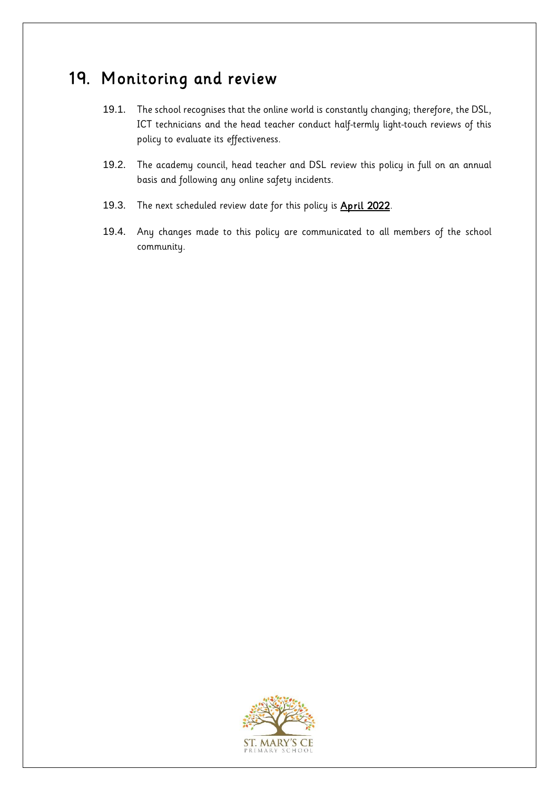#### 19. Monitoring and review

- 19.1. The school recognises that the online world is constantly changing; therefore, the DSL, ICT technicians and the head teacher conduct half-termly light-touch reviews of this policy to evaluate its effectiveness.
- 19.2. The academy council, head teacher and DSL review this policy in full on an annual basis and following any online safety incidents.
- 19.3. The next scheduled review date for this policy is **April 2022**.
- 19.4. Any changes made to this policy are communicated to all members of the school community.

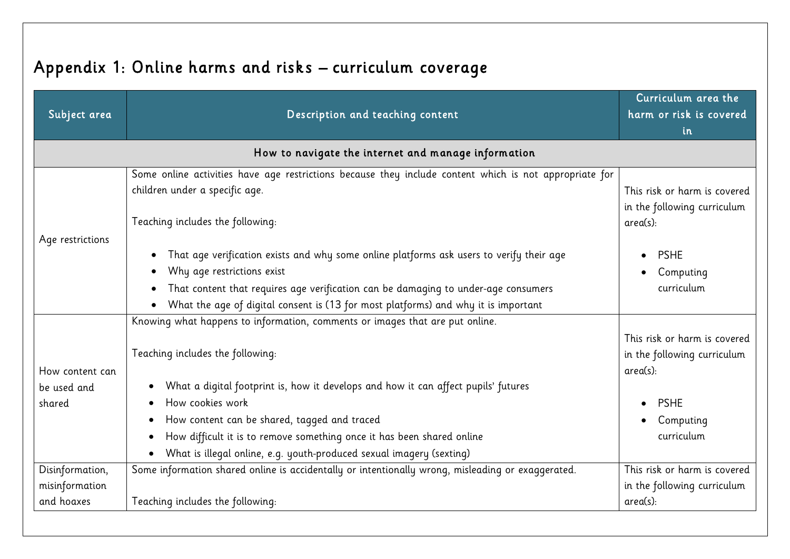# Appendix 1: Online harms and risks – curriculum coverage

<span id="page-25-0"></span>

| Subject area                                    | Description and teaching content                                                                                                                                                                                                                                                                                                                                                                                             | Curriculum area the<br>harm or risk is covered<br>in                                                              |
|-------------------------------------------------|------------------------------------------------------------------------------------------------------------------------------------------------------------------------------------------------------------------------------------------------------------------------------------------------------------------------------------------------------------------------------------------------------------------------------|-------------------------------------------------------------------------------------------------------------------|
|                                                 | How to navigate the internet and manage information                                                                                                                                                                                                                                                                                                                                                                          |                                                                                                                   |
| Age restrictions                                | Some online activities have age restrictions because they include content which is not appropriate for<br>children under a specific age.<br>Teaching includes the following:                                                                                                                                                                                                                                                 | This risk or harm is covered<br>in the following curriculum<br>area(s):                                           |
|                                                 | That age verification exists and why some online platforms ask users to verify their age<br>Why age restrictions exist<br>That content that requires age verification can be damaging to under-age consumers<br>What the age of digital consent is (13 for most platforms) and why it is important                                                                                                                           | <b>PSHE</b><br>$\bullet$<br>Computing<br>curriculum                                                               |
| How content can<br>be used and<br>shared        | Knowing what happens to information, comments or images that are put online.<br>Teaching includes the following:<br>What a digital footprint is, how it develops and how it can affect pupils' futures<br>How cookies work<br>How content can be shared, tagged and traced<br>How difficult it is to remove something once it has been shared online<br>What is illegal online, e.g. youth-produced sexual imagery (sexting) | This risk or harm is covered<br>in the following curriculum<br>area(s):<br><b>PSHE</b><br>Computing<br>curriculum |
| Disinformation,<br>misinformation<br>and hoaxes | Some information shared online is accidentally or intentionally wrong, misleading or exaggerated.<br>Teaching includes the following:                                                                                                                                                                                                                                                                                        | This risk or harm is covered<br>in the following curriculum<br>$area(s)$ :                                        |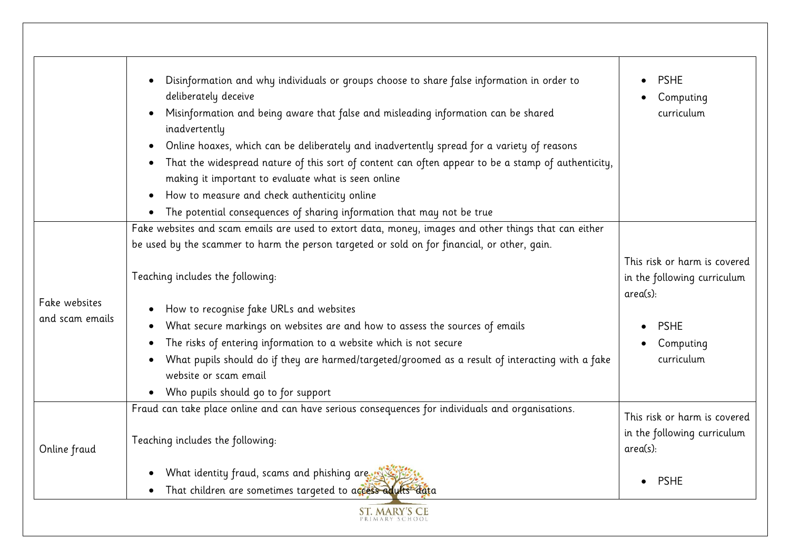|                                  | Disinformation and why individuals or groups choose to share false information in order to                                | <b>PSHE</b>                             |
|----------------------------------|---------------------------------------------------------------------------------------------------------------------------|-----------------------------------------|
|                                  | deliberately deceive                                                                                                      | Computing                               |
|                                  | Misinformation and being aware that false and misleading information can be shared<br>inadvertently                       | curriculum                              |
|                                  | Online hoaxes, which can be deliberately and inadvertently spread for a variety of reasons                                |                                         |
|                                  | That the widespread nature of this sort of content can often appear to be a stamp of authenticity,                        |                                         |
|                                  | making it important to evaluate what is seen online                                                                       |                                         |
|                                  | How to measure and check authenticity online<br>$\bullet$                                                                 |                                         |
|                                  | The potential consequences of sharing information that may not be true<br>$\bullet$                                       |                                         |
|                                  | Fake websites and scam emails are used to extort data, money, images and other things that can either                     |                                         |
|                                  | be used by the scammer to harm the person targeted or sold on for financial, or other, gain.                              |                                         |
|                                  |                                                                                                                           | This risk or harm is covered            |
| Fake websites<br>and scam emails | Teaching includes the following:                                                                                          | in the following curriculum<br>area(s): |
|                                  | How to recognise fake URLs and websites                                                                                   |                                         |
|                                  | What secure markings on websites are and how to assess the sources of emails                                              | <b>PSHE</b>                             |
|                                  | The risks of entering information to a website which is not secure                                                        | Computing                               |
|                                  | What pupils should do if they are harmed/targeted/groomed as a result of interacting with a fake<br>website or scam email | curriculum                              |
|                                  | • Who pupils should go to for support                                                                                     |                                         |
|                                  | Fraud can take place online and can have serious consequences for individuals and organisations.                          | This risk or harm is covered            |
| Online fraud                     | Teaching includes the following:                                                                                          | in the following curriculum<br>area(s): |
|                                  | What identity fraud, scams and phishing are to                                                                            | <b>PSHE</b>                             |
|                                  | That children are sometimes targeted to access adults data                                                                |                                         |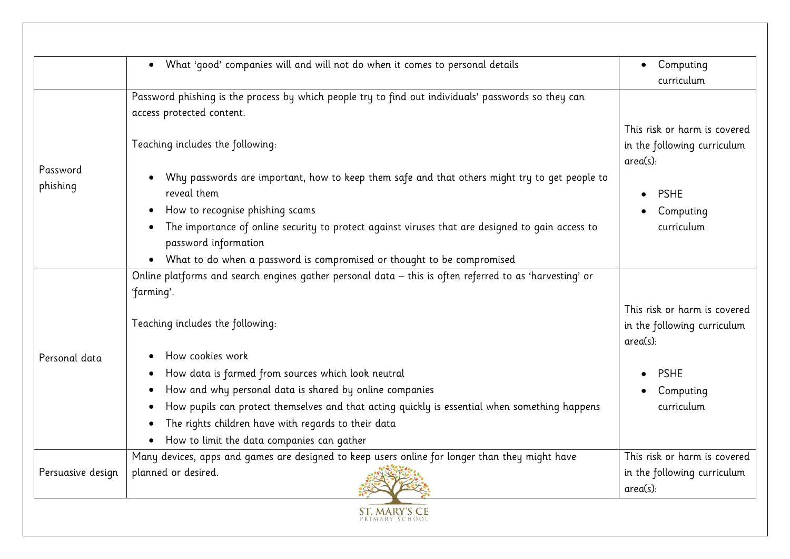|                   | What 'good' companies will and will not do when it comes to personal details<br>$\bullet$                                | Computing                                                               |
|-------------------|--------------------------------------------------------------------------------------------------------------------------|-------------------------------------------------------------------------|
|                   |                                                                                                                          | curriculum                                                              |
|                   | Password phishing is the process by which people try to find out individuals' passwords so they can                      |                                                                         |
|                   | access protected content.                                                                                                |                                                                         |
|                   | Teaching includes the following:                                                                                         | This risk or harm is covered<br>in the following curriculum<br>area(s): |
| Password          | Why passwords are important, how to keep them safe and that others might try to get people to                            |                                                                         |
| phishing          | reveal them                                                                                                              | <b>PSHE</b>                                                             |
|                   | How to recognise phishing scams                                                                                          | Computing                                                               |
|                   | The importance of online security to protect against viruses that are designed to gain access to<br>password information | curriculum                                                              |
|                   | • What to do when a password is compromised or thought to be compromised                                                 |                                                                         |
|                   | Online platforms and search engines gather personal data - this is often referred to as 'harvesting' or                  |                                                                         |
|                   | 'farming'.                                                                                                               |                                                                         |
|                   | Teaching includes the following:                                                                                         | This risk or harm is covered<br>in the following curriculum<br>area(s): |
| Personal data     | How cookies work                                                                                                         |                                                                         |
|                   | How data is farmed from sources which look neutral                                                                       | <b>PSHE</b>                                                             |
|                   | How and why personal data is shared by online companies                                                                  | Computing                                                               |
|                   | How pupils can protect themselves and that acting quickly is essential when something happens                            | curriculum                                                              |
|                   | The rights children have with regards to their data                                                                      |                                                                         |
|                   | • How to limit the data companies can gather                                                                             |                                                                         |
| Persuasive design | Many devices, apps and games are designed to keep users online for longer than they might have                           | This risk or harm is covered                                            |
|                   | planned or desired.                                                                                                      | in the following curriculum<br>area(s):                                 |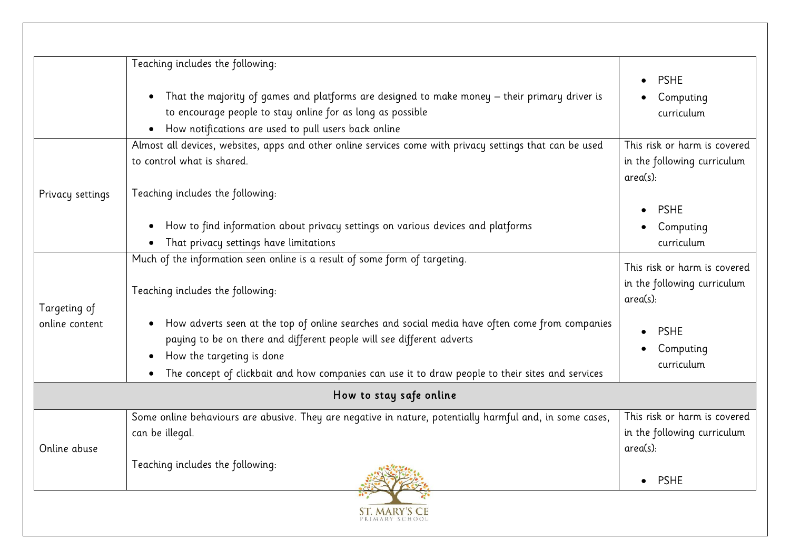|                  | Teaching includes the following:                                                                            |                                         |
|------------------|-------------------------------------------------------------------------------------------------------------|-----------------------------------------|
|                  |                                                                                                             | <b>PSHE</b>                             |
|                  | That the majority of games and platforms are designed to make money – their primary driver is<br>$\bullet$  | Computing                               |
|                  | to encourage people to stay online for as long as possible                                                  | curriculum                              |
|                  | How notifications are used to pull users back online<br>$\bullet$                                           |                                         |
|                  | Almost all devices, websites, apps and other online services come with privacy settings that can be used    | This risk or harm is covered            |
|                  | to control what is shared.                                                                                  | in the following curriculum<br>area(s): |
| Privacy settings | Teaching includes the following:                                                                            |                                         |
|                  |                                                                                                             | <b>PSHE</b>                             |
|                  | How to find information about privacy settings on various devices and platforms<br>$\bullet$                | Computing                               |
|                  | That privacy settings have limitations<br>$\bullet$                                                         | curriculum                              |
|                  | Much of the information seen online is a result of some form of targeting.                                  |                                         |
|                  |                                                                                                             | This risk or harm is covered            |
|                  | Teaching includes the following:                                                                            | in the following curriculum<br>area(s): |
| Targeting of     |                                                                                                             |                                         |
| online content   | How adverts seen at the top of online searches and social media have often come from companies<br>$\bullet$ | <b>PSHE</b>                             |
|                  | paying to be on there and different people will see different adverts                                       |                                         |
|                  | How the targeting is done<br>$\bullet$                                                                      | Computing<br>curriculum                 |
|                  | The concept of clickbait and how companies can use it to draw people to their sites and services<br>٠       |                                         |
|                  | How to stay safe online                                                                                     |                                         |
|                  | Some online behaviours are abusive. They are negative in nature, potentially harmful and, in some cases,    | This risk or harm is covered            |
|                  | can be illegal.                                                                                             | in the following curriculum             |
| Online abuse     |                                                                                                             | area(s):                                |
|                  | Teaching includes the following:                                                                            | <b>PSHE</b><br>$\bullet$                |
|                  | <b>ST. MARY'S CE</b>                                                                                        |                                         |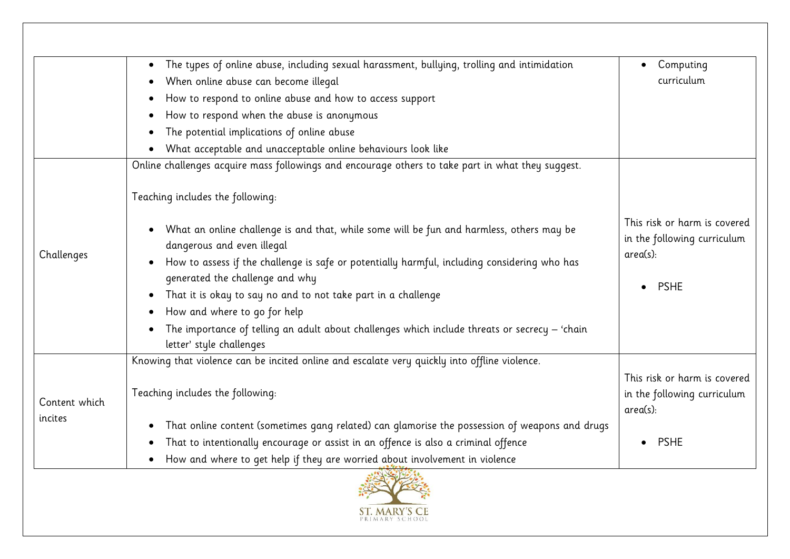|                          | The types of online abuse, including sexual harassment, bullying, trolling and intimidation<br>$\bullet$                                                                                                                                                                                                                                                                                                                                                                                             | Computing                                                                                 |
|--------------------------|------------------------------------------------------------------------------------------------------------------------------------------------------------------------------------------------------------------------------------------------------------------------------------------------------------------------------------------------------------------------------------------------------------------------------------------------------------------------------------------------------|-------------------------------------------------------------------------------------------|
|                          | When online abuse can become illegal                                                                                                                                                                                                                                                                                                                                                                                                                                                                 | curriculum                                                                                |
|                          | How to respond to online abuse and how to access support                                                                                                                                                                                                                                                                                                                                                                                                                                             |                                                                                           |
|                          | How to respond when the abuse is anonymous                                                                                                                                                                                                                                                                                                                                                                                                                                                           |                                                                                           |
|                          | The potential implications of online abuse                                                                                                                                                                                                                                                                                                                                                                                                                                                           |                                                                                           |
|                          | What acceptable and unacceptable online behaviours look like                                                                                                                                                                                                                                                                                                                                                                                                                                         |                                                                                           |
|                          | Online challenges acquire mass followings and encourage others to take part in what they suggest.                                                                                                                                                                                                                                                                                                                                                                                                    |                                                                                           |
| Challenges               | Teaching includes the following:                                                                                                                                                                                                                                                                                                                                                                                                                                                                     |                                                                                           |
|                          | What an online challenge is and that, while some will be fun and harmless, others may be<br>$\bullet$<br>dangerous and even illegal<br>How to assess if the challenge is safe or potentially harmful, including considering who has<br>generated the challenge and why<br>That it is okay to say no and to not take part in a challenge<br>How and where to go for help<br>The importance of telling an adult about challenges which include threats or secrecy - 'chain<br>letter' style challenges | This risk or harm is covered<br>in the following curriculum<br>$area(s)$ :<br><b>PSHE</b> |
| Content which<br>incites | Knowing that violence can be incited online and escalate very quickly into offline violence.                                                                                                                                                                                                                                                                                                                                                                                                         |                                                                                           |
|                          | Teaching includes the following:                                                                                                                                                                                                                                                                                                                                                                                                                                                                     | This risk or harm is covered<br>in the following curriculum<br>area(s):                   |
|                          | That online content (sometimes gang related) can glamorise the possession of weapons and drugs<br>$\bullet$                                                                                                                                                                                                                                                                                                                                                                                          |                                                                                           |
|                          | That to intentionally encourage or assist in an offence is also a criminal offence<br>٠                                                                                                                                                                                                                                                                                                                                                                                                              | <b>PSHE</b>                                                                               |
|                          | How and where to get help if they are worried about involvement in violence<br>$\bullet$                                                                                                                                                                                                                                                                                                                                                                                                             |                                                                                           |

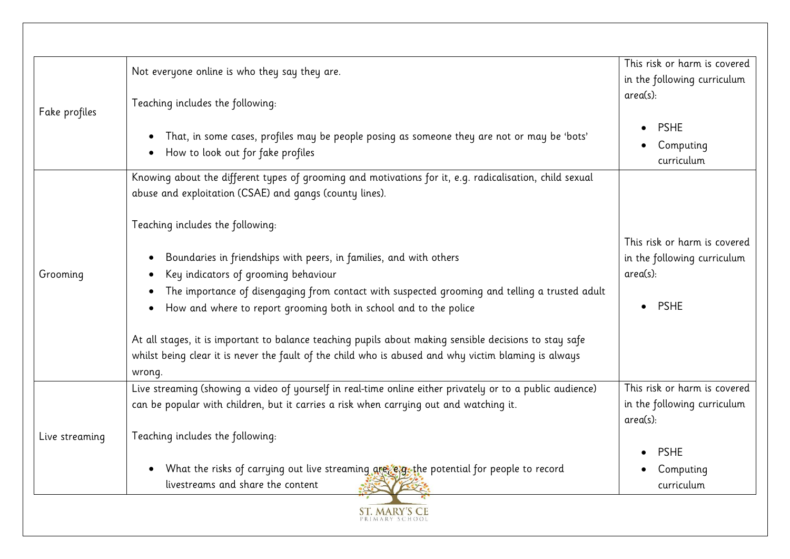| Fake profiles  | Not everyone online is who they say they are.                                                                                                                                                                            | This risk or harm is covered            |
|----------------|--------------------------------------------------------------------------------------------------------------------------------------------------------------------------------------------------------------------------|-----------------------------------------|
|                |                                                                                                                                                                                                                          | in the following curriculum             |
|                | Teaching includes the following:                                                                                                                                                                                         | area(s):                                |
|                | That, in some cases, profiles may be people posing as someone they are not or may be 'bots'<br>$\bullet$<br>How to look out for fake profiles                                                                            | <b>PSHE</b><br>Computing<br>curriculum  |
|                | Knowing about the different types of grooming and motivations for it, e.g. radicalisation, child sexual<br>abuse and exploitation (CSAE) and gangs (county lines).                                                       |                                         |
|                | Teaching includes the following:                                                                                                                                                                                         | This risk or harm is covered            |
|                | Boundaries in friendships with peers, in families, and with others                                                                                                                                                       | in the following curriculum             |
| Grooming       | Key indicators of grooming behaviour                                                                                                                                                                                     | area(s):                                |
|                | The importance of disengaging from contact with suspected grooming and telling a trusted adult                                                                                                                           |                                         |
|                | How and where to report grooming both in school and to the police                                                                                                                                                        | <b>PSHE</b>                             |
|                | At all stages, it is important to balance teaching pupils about making sensible decisions to stay safe<br>whilst being clear it is never the fault of the child who is abused and why victim blaming is always<br>wrong. |                                         |
|                | Live streaming (showing a video of yourself in real-time online either privately or to a public audience)                                                                                                                | This risk or harm is covered            |
| Live streaming | can be popular with children, but it carries a risk when carrying out and watching it.                                                                                                                                   | in the following curriculum<br>area(s): |
|                | Teaching includes the following:                                                                                                                                                                                         | <b>PSHE</b>                             |
|                | What the risks of carrying out live streaming are egg-the potential for people to record<br>$\bullet$<br>livestreams and share the content                                                                               | Computing<br>curriculum                 |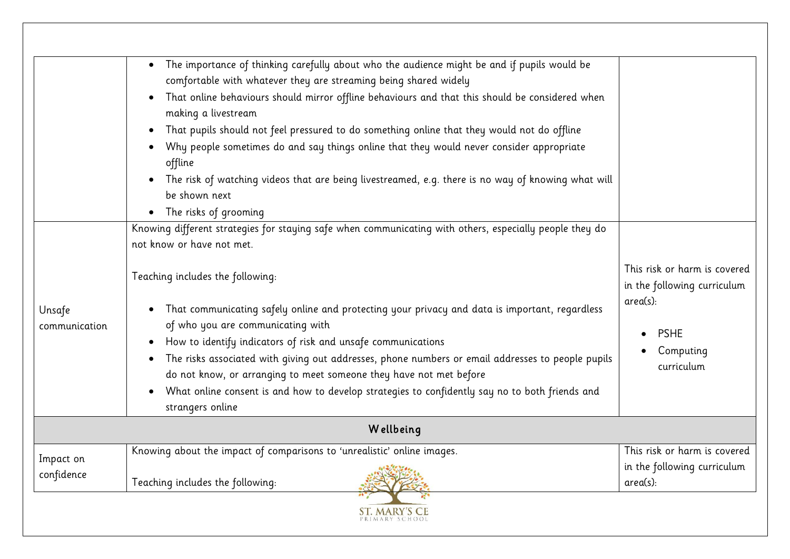|                         | Knowing about the impact of comparisons to 'unrealistic' online images.                                                                                                                                                                                                                                                                                                                                                                                                                                                                                                                                                                                                                                                                                                                                                                                               | This risk or harm is covered<br>in the following curriculum                                                          |
|-------------------------|-----------------------------------------------------------------------------------------------------------------------------------------------------------------------------------------------------------------------------------------------------------------------------------------------------------------------------------------------------------------------------------------------------------------------------------------------------------------------------------------------------------------------------------------------------------------------------------------------------------------------------------------------------------------------------------------------------------------------------------------------------------------------------------------------------------------------------------------------------------------------|----------------------------------------------------------------------------------------------------------------------|
|                         | Wellbeing                                                                                                                                                                                                                                                                                                                                                                                                                                                                                                                                                                                                                                                                                                                                                                                                                                                             |                                                                                                                      |
| Unsafe<br>communication | Teaching includes the following:<br>That communicating safely online and protecting your privacy and data is important, regardless<br>$\bullet$<br>of who you are communicating with<br>How to identify indicators of risk and unsafe communications<br>$\bullet$<br>The risks associated with giving out addresses, phone numbers or email addresses to people pupils<br>$\bullet$<br>do not know, or arranging to meet someone they have not met before<br>What online consent is and how to develop strategies to confidently say no to both friends and<br>$\bullet$<br>strangers online                                                                                                                                                                                                                                                                          | This risk or harm is covered<br>in the following curriculum<br>$area(s)$ :<br><b>PSHE</b><br>Computing<br>curriculum |
|                         | The importance of thinking carefully about who the audience might be and if pupils would be<br>$\bullet$<br>comfortable with whatever they are streaming being shared widely<br>That online behaviours should mirror offline behaviours and that this should be considered when<br>$\bullet$<br>making a livestream<br>That pupils should not feel pressured to do something online that they would not do offline<br>$\bullet$<br>Why people sometimes do and say things online that they would never consider appropriate<br>$\bullet$<br>offline<br>The risk of watching videos that are being livestreamed, e.g. there is no way of knowing what will<br>$\bullet$<br>be shown next<br>The risks of grooming<br>$\bullet$<br>Knowing different strategies for staying safe when communicating with others, especially people they do<br>not know or have not met. |                                                                                                                      |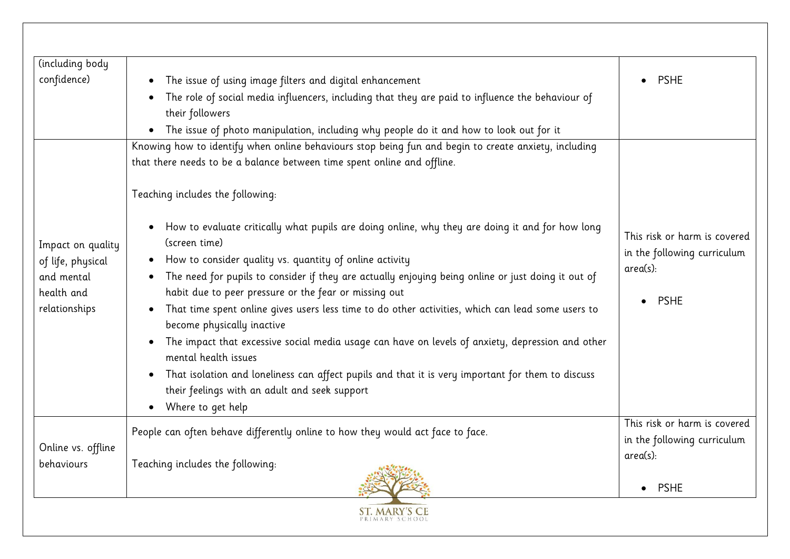| (including body    |                                                                                                                                              |                                                             |
|--------------------|----------------------------------------------------------------------------------------------------------------------------------------------|-------------------------------------------------------------|
| confidence)        | The issue of using image filters and digital enhancement                                                                                     | <b>PSHE</b>                                                 |
|                    | The role of social media influencers, including that they are paid to influence the behaviour of                                             |                                                             |
|                    | their followers                                                                                                                              |                                                             |
|                    | The issue of photo manipulation, including why people do it and how to look out for it<br>$\bullet$                                          |                                                             |
|                    | Knowing how to identify when online behaviours stop being fun and begin to create anxiety, including                                         |                                                             |
|                    | that there needs to be a balance between time spent online and offline.                                                                      |                                                             |
|                    | Teaching includes the following:                                                                                                             |                                                             |
| Impact on quality  | How to evaluate critically what pupils are doing online, why they are doing it and for how long<br>$\bullet$<br>(screen time)                | This risk or harm is covered<br>in the following curriculum |
| of life, physical  | How to consider quality vs. quantity of online activity<br>$\bullet$                                                                         | area(s):                                                    |
| and mental         | The need for pupils to consider if they are actually enjoying being online or just doing it out of                                           |                                                             |
| health and         | habit due to peer pressure or the fear or missing out                                                                                        | <b>PSHE</b>                                                 |
| relationships      | That time spent online gives users less time to do other activities, which can lead some users to<br>$\bullet$<br>become physically inactive |                                                             |
|                    | The impact that excessive social media usage can have on levels of anxiety, depression and other<br>mental health issues                     |                                                             |
|                    | That isolation and loneliness can affect pupils and that it is very important for them to discuss<br>$\bullet$                               |                                                             |
|                    | their feelings with an adult and seek support                                                                                                |                                                             |
|                    | Where to get help<br>$\bullet$                                                                                                               | This risk or harm is covered                                |
|                    | People can often behave differently online to how they would act face to face.                                                               | in the following curriculum                                 |
| Online vs. offline |                                                                                                                                              | $area(s)$ :                                                 |
| behaviours         | Teaching includes the following:                                                                                                             |                                                             |
|                    |                                                                                                                                              | <b>PSHE</b><br>$\bullet$                                    |
|                    |                                                                                                                                              |                                                             |